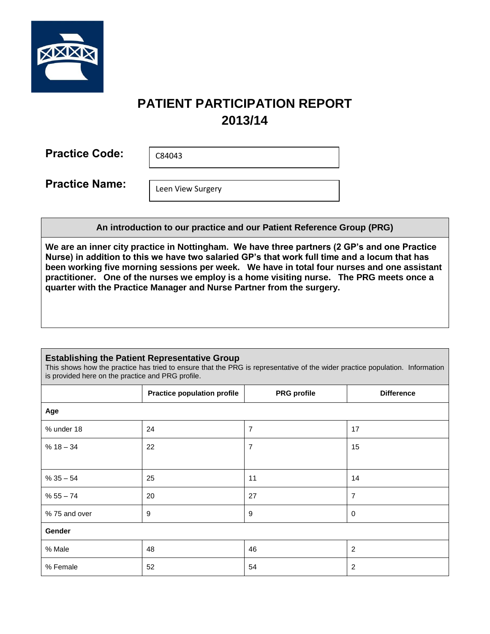

# **PATIENT PARTICIPATION REPORT 2013/14**

**Practice Code:**  C84043

**Practice Name:** 

Leen View Surgery

**An introduction to our practice and our Patient Reference Group (PRG)**

**We are an inner city practice in Nottingham. We have three partners (2 GP's and one Practice Nurse) in addition to this we have two salaried GP's that work full time and a locum that has been working five morning sessions per week. We have in total four nurses and one assistant practitioner. One of the nurses we employ is a home visiting nurse. The PRG meets once a quarter with the Practice Manager and Nurse Partner from the surgery.** 

## **Establishing the Patient Representative Group**

This shows how the practice has tried to ensure that the PRG is representative of the wider practice population. Information is provided here on the practice and PRG profile.

|              | <b>Practice population profile</b> | <b>PRG</b> profile       | <b>Difference</b> |  |  |  |
|--------------|------------------------------------|--------------------------|-------------------|--|--|--|
| Age          |                                    |                          |                   |  |  |  |
| % under 18   | 24                                 | $\overline{\mathcal{I}}$ | 17                |  |  |  |
| $% 18 - 34$  | 22                                 | $\overline{7}$           | 15                |  |  |  |
|              |                                    |                          |                   |  |  |  |
| $% 35 - 54$  | 25                                 | 11                       | 14                |  |  |  |
| $% 55 - 74$  | 20                                 | 27                       | $\overline{7}$    |  |  |  |
| %75 and over | 9                                  | $\mathsf g$              | $\mathbf 0$       |  |  |  |
| Gender       |                                    |                          |                   |  |  |  |
| % Male       | 48                                 | 46                       | $\overline{2}$    |  |  |  |
| % Female     | 52                                 | 54                       | $\overline{2}$    |  |  |  |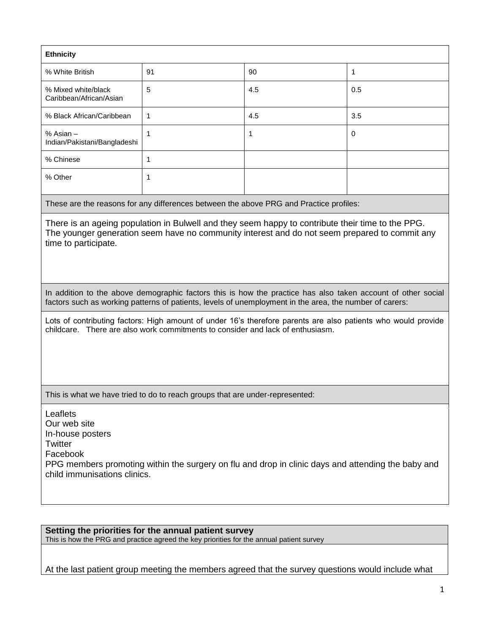| <b>Ethnicity</b>                               |             |     |             |  |
|------------------------------------------------|-------------|-----|-------------|--|
| % White British                                | 91          | 90  | 1           |  |
| % Mixed white/black<br>Caribbean/African/Asian | 5           | 4.5 | 0.5         |  |
| % Black African/Caribbean                      | $\mathbf 1$ | 4.5 | 3.5         |  |
| % Asian -<br>Indian/Pakistani/Bangladeshi      |             |     | $\mathbf 0$ |  |
| % Chinese                                      |             |     |             |  |
| % Other                                        |             |     |             |  |

These are the reasons for any differences between the above PRG and Practice profiles:

There is an ageing population in Bulwell and they seem happy to contribute their time to the PPG. The younger generation seem have no community interest and do not seem prepared to commit any time to participate.

In addition to the above demographic factors this is how the practice has also taken account of other social factors such as working patterns of patients, levels of unemployment in the area, the number of carers:

Lots of contributing factors: High amount of under 16's therefore parents are also patients who would provide childcare. There are also work commitments to consider and lack of enthusiasm.

This is what we have tried to do to reach groups that are under-represented:

Leaflets Our web site In-house posters **Twitter** Facebook PPG members promoting within the surgery on flu and drop in clinic days and attending the baby and child immunisations clinics.

**Setting the priorities for the annual patient survey** This is how the PRG and practice agreed the key priorities for the annual patient survey

At the last patient group meeting the members agreed that the survey questions would include what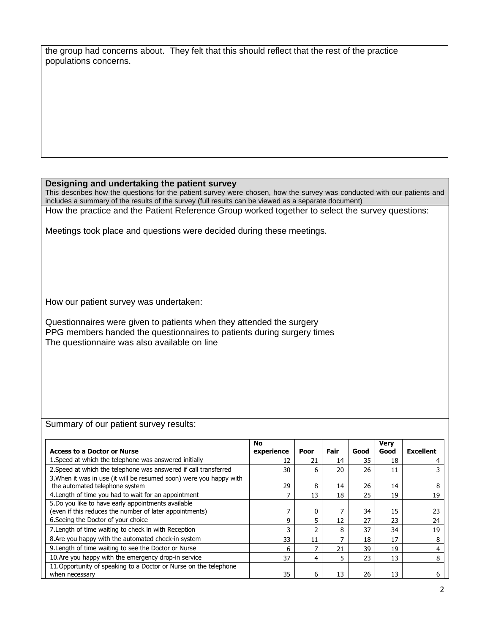|                       | the group had concerns about. They felt that this should reflect that the rest of the practice |
|-----------------------|------------------------------------------------------------------------------------------------|
| populations concerns. |                                                                                                |

#### **Designing and undertaking the patient survey**

This describes how the questions for the patient survey were chosen, how the survey was conducted with our patients and includes a summary of the results of the survey (full results can be viewed as a separate document) How the practice and the Patient Reference Group worked together to select the survey questions:

Meetings took place and questions were decided during these meetings.

How our patient survey was undertaken:

Questionnaires were given to patients when they attended the surgery PPG members handed the questionnaires to patients during surgery times The questionnaire was also available on line

Summary of our patient survey results:

|                                                                                                               | <b>No</b>  |      |      |      | <b>Very</b> |                  |
|---------------------------------------------------------------------------------------------------------------|------------|------|------|------|-------------|------------------|
| <b>Access to a Doctor or Nurse</b>                                                                            | experience | Poor | Fair | Good | Good        | <b>Excellent</b> |
| 1. Speed at which the telephone was answered initially                                                        | 12         | 21   | 14   | 35   | 18          |                  |
| 2. Speed at which the telephone was answered if call transferred                                              | 30         | 6    | 20   | 26   | 11          |                  |
| 3. When it was in use (it will be resumed soon) were you happy with<br>the automated telephone system         | 29         | 8    | 14   | 26   | 14          | 8                |
| 4. Length of time you had to wait for an appointment                                                          |            | 13   | 18   | 25   | 19          | 19               |
| 5.Do you like to have early appointments available<br>(even if this reduces the number of later appointments) |            | 0    |      | 34   | 15          | 23               |
| 6. Seeing the Doctor of your choice                                                                           | q          | 5    | 12   | 27   | 23          | 24               |
| 7. Length of time waiting to check in with Reception                                                          | ٦          | ר    | 8    | 37   | 34          | 19               |
| 8. Are you happy with the automated check-in system                                                           | 33         | 11   |      | 18   | 17          | 8                |
| 9. Length of time waiting to see the Doctor or Nurse                                                          | 6          |      | 21   | 39   | 19          | 4                |
| 10.Are you happy with the emergency drop-in service                                                           | 37         | 4    | 5    | 23   | 13          | 8                |
| 11. Opportunity of speaking to a Doctor or Nurse on the telephone<br>when necessary                           | 35         | 6    | 13   | 26   | 13          | h                |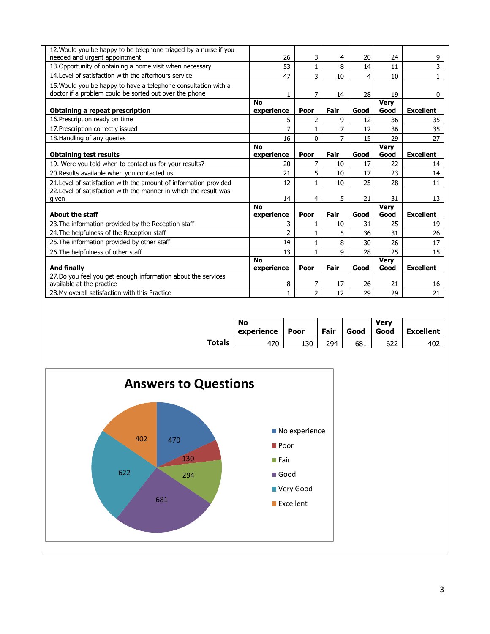| 12. Would you be happy to be telephone triaged by a nurse if you<br>needed and urgent appointment | 26             | 3              | 4    | 20   | 24          | 9                |
|---------------------------------------------------------------------------------------------------|----------------|----------------|------|------|-------------|------------------|
| 13. Opportunity of obtaining a home visit when necessary                                          | 53             | $\mathbf{1}$   | 8    | 14   | 11          | 3                |
| 14. Level of satisfaction with the afterhours service                                             | 47             | 3              | 10   | 4    | 10          | $\mathbf{1}$     |
| 15. Would you be happy to have a telephone consultation with a                                    |                |                |      |      |             |                  |
| doctor if a problem could be sorted out over the phone                                            | 1              | 7              | 14   | 28   | 19          | 0                |
|                                                                                                   | <b>No</b>      |                |      |      | <b>Very</b> |                  |
| Obtaining a repeat prescription                                                                   | experience     | Poor           | Fair | Good | Good        | <b>Excellent</b> |
| 16. Prescription ready on time                                                                    | 5              | 2              | 9    | 12   | 36          | 35               |
| 17. Prescription correctly issued                                                                 | 7              | 1              | 7    | 12   | 36          | 35               |
| 18. Handling of any queries                                                                       | 16             | 0              | 7    | 15   | 29          | 27               |
|                                                                                                   | <b>No</b>      |                |      |      | <b>Very</b> |                  |
| <b>Obtaining test results</b>                                                                     | experience     | Poor           | Fair | Good | Good        | <b>Excellent</b> |
| 19. Were you told when to contact us for your results?                                            | 20             | 7              | 10   | 17   | 22          | 14               |
| 20. Results available when you contacted us                                                       | 21             | 5              | 10   | 17   | 23          | 14               |
| 21. Level of satisfaction with the amount of information provided                                 | 12             | $\mathbf{1}$   | 10   | 25   | 28          | 11               |
| 22. Level of satisfaction with the manner in which the result was                                 |                |                |      |      |             |                  |
| given                                                                                             | 14             | 4              | 5    | 21   | 31          | 13               |
|                                                                                                   | <b>No</b>      |                |      |      | <b>Very</b> |                  |
| <b>About the staff</b>                                                                            | experience     | Poor           | Fair | Good | Good        | <b>Excellent</b> |
| 23. The information provided by the Reception staff                                               | 3              | 1              | 10   | 31   | 25          | 19               |
| 24. The helpfulness of the Reception staff                                                        | $\overline{2}$ | $\mathbf{1}$   | 5    | 36   | 31          | 26               |
| 25. The information provided by other staff                                                       | 14             | 1              | 8    | 30   | 26          | 17               |
| 26. The helpfulness of other staff                                                                | 13             |                | 9    | 28   | 25          | 15               |
|                                                                                                   | <b>No</b>      |                |      |      | <b>Very</b> |                  |
| <b>And finally</b>                                                                                | experience     | Poor           | Fair | Good | Good        | <b>Excellent</b> |
| 27.Do you feel you get enough information about the services                                      |                |                |      |      |             |                  |
| available at the practice                                                                         | 8              | 7              | 17   | 26   | 21          | 16               |
| 28. My overall satisfaction with this Practice                                                    | 1              | $\overline{2}$ | 12   | 29   | 29          | 21               |

|               | <b>No</b><br>experience | Poor | Fair | Good | Verv<br>Good | <b>Excellent</b> |
|---------------|-------------------------|------|------|------|--------------|------------------|
| <b>Totals</b> |                         | 130  | 04 ( | 681  |              |                  |

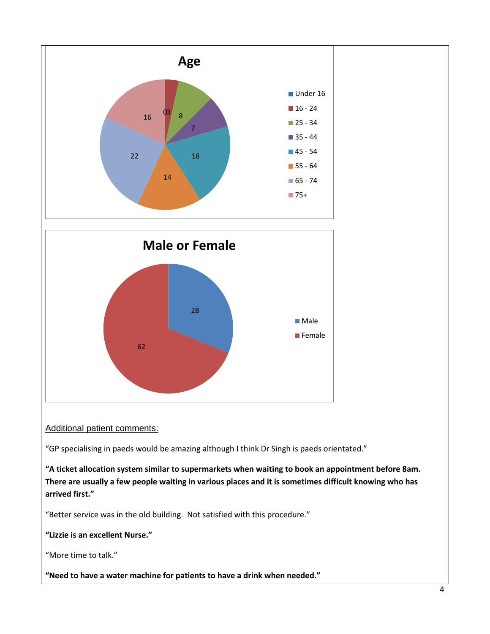

Additional patient comments:

"GP specialising in paeds would be amazing although I think Dr Singh is paeds orientated."

**"A ticket allocation system similar to supermarkets when waiting to book an appointment before 8am. There are usually a few people waiting in various places and it is sometimes difficult knowing who has arrived first."**

"Better service was in the old building. Not satisfied with this procedure."

**"Lizzie is an excellent Nurse."**

"More time to talk."

**"Need to have a water machine for patients to have a drink when needed."**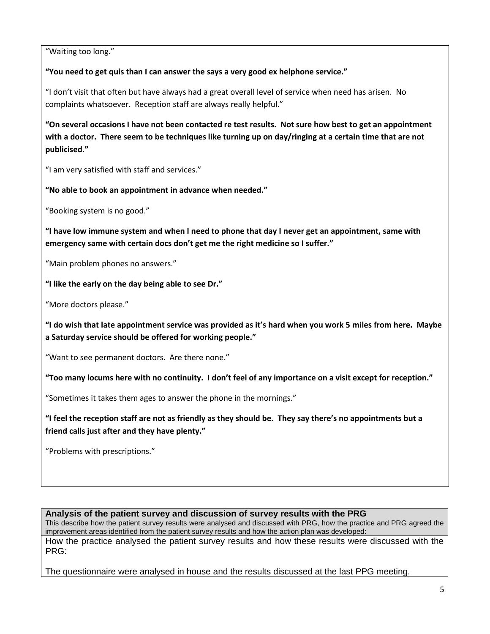"Waiting too long."

**"You need to get quis than I can answer the says a very good ex helphone service."**

"I don't visit that often but have always had a great overall level of service when need has arisen. No complaints whatsoever. Reception staff are always really helpful."

**"On several occasions I have not been contacted re test results. Not sure how best to get an appointment with a doctor. There seem to be techniques like turning up on day/ringing at a certain time that are not publicised."**

"I am very satisfied with staff and services."

**"No able to book an appointment in advance when needed."**

"Booking system is no good."

**"I have low immune system and when I need to phone that day I never get an appointment, same with emergency same with certain docs don't get me the right medicine so I suffer."**

"Main problem phones no answers."

**"I like the early on the day being able to see Dr."**

"More doctors please."

**"I do wish that late appointment service was provided as it's hard when you work 5 miles from here. Maybe a Saturday service should be offered for working people."**

"Want to see permanent doctors. Are there none."

**"Too many locums here with no continuity. I don't feel of any importance on a visit except for reception."**

"Sometimes it takes them ages to answer the phone in the mornings."

**"I feel the reception staff are not as friendly as they should be. They say there's no appointments but a friend calls just after and they have plenty."**

"Problems with prescriptions."

**Analysis of the patient survey and discussion of survey results with the PRG**

This describe how the patient survey results were analysed and discussed with PRG, how the practice and PRG agreed the improvement areas identified from the patient survey results and how the action plan was developed:

How the practice analysed the patient survey results and how these results were discussed with the PRG:

The questionnaire were analysed in house and the results discussed at the last PPG meeting.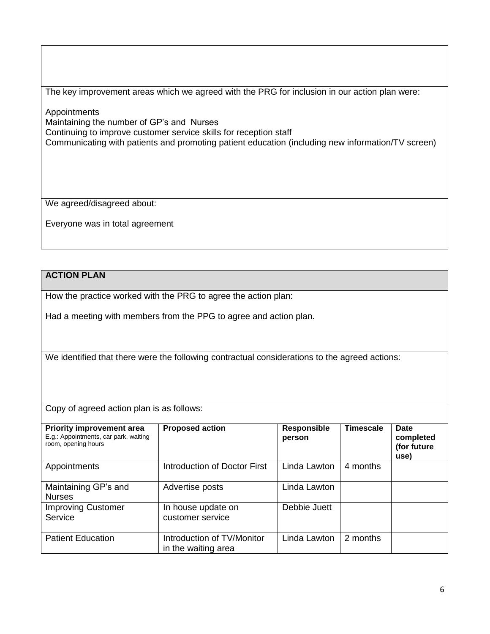The key improvement areas which we agreed with the PRG for inclusion in our action plan were:

Appointments Maintaining the number of GP's and Nurses Continuing to improve customer service skills for reception staff Communicating with patients and promoting patient education (including new information/TV screen)

We agreed/disagreed about:

Everyone was in total agreement

# **ACTION PLAN**

How the practice worked with the PRG to agree the action plan:

Had a meeting with members from the PPG to agree and action plan.

We identified that there were the following contractual considerations to the agreed actions:

Copy of agreed action plan is as follows:

| <b>Priority improvement area</b><br>E.g.: Appointments, car park, waiting<br>room, opening hours | <b>Proposed action</b>                            | <b>Responsible</b><br>person | <b>Timescale</b> | Date<br>completed<br>(for future<br>use) |
|--------------------------------------------------------------------------------------------------|---------------------------------------------------|------------------------------|------------------|------------------------------------------|
| Appointments                                                                                     | Introduction of Doctor First                      | Linda Lawton                 | 4 months         |                                          |
| Maintaining GP's and<br><b>Nurses</b>                                                            | Advertise posts                                   | Linda Lawton                 |                  |                                          |
| <b>Improving Customer</b><br>Service                                                             | In house update on<br>customer service            | Debbie Juett                 |                  |                                          |
| <b>Patient Education</b>                                                                         | Introduction of TV/Monitor<br>in the waiting area | Linda Lawton                 | 2 months         |                                          |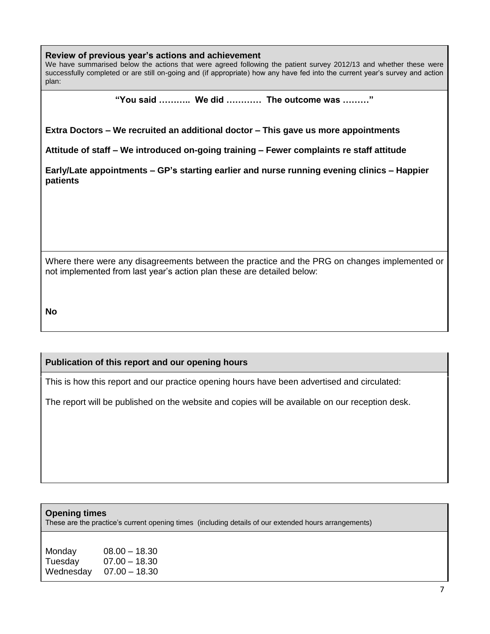### **Review of previous year's actions and achievement**

We have summarised below the actions that were agreed following the patient survey 2012/13 and whether these were successfully completed or are still on-going and (if appropriate) how any have fed into the current year's survey and action plan:

**"You said ……….. We did ………… The outcome was ………"**

**Extra Doctors – We recruited an additional doctor – This gave us more appointments**

**Attitude of staff – We introduced on-going training – Fewer complaints re staff attitude**

**Early/Late appointments – GP's starting earlier and nurse running evening clinics – Happier patients**

Where there were any disagreements between the practice and the PRG on changes implemented or not implemented from last year's action plan these are detailed below:

**No**

## **Publication of this report and our opening hours**

This is how this report and our practice opening hours have been advertised and circulated:

The report will be published on the website and copies will be available on our reception desk.

### **Opening times**

These are the practice's current opening times (including details of our extended hours arrangements)

| Monday    | $08.00 - 18.30$ |
|-----------|-----------------|
| Tuesday   | $07.00 - 18.30$ |
| Wednesday | $07.00 - 18.30$ |